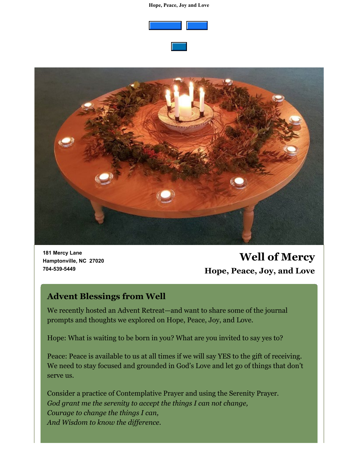#### **Hope, Peace, Joy and Love**







**181 Mercy Lane Hamptonville, NC 27020 704-539-5449**

# **Well of Mercy Hope, Peace, Joy, and Love**

### **Advent Blessings from Well**

We recently hosted an Advent Retreat—and want to share some of the journal prompts and thoughts we explored on Hope, Peace, Joy, and Love.

Hope: What is waiting to be born in you? What are you invited to say yes to?

Peace: Peace is available to us at all times if we will say YES to the gift of receiving. We need to stay focused and grounded in God's Love and let go of things that don't serve us.

Consider a practice of Contemplative Prayer and using the Serenity Prayer. *God grant me the serenity to accept the things I can not change, Courage to change the things I can, And Wisdom to know the difference.*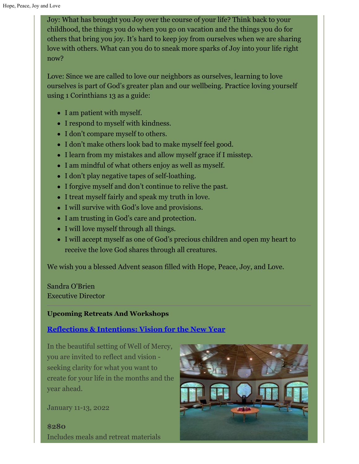Joy: What has brought you Joy over the course of your life? Think back to your childhood, the things you do when you go on vacation and the things you do for others that bring you joy. It's hard to keep joy from ourselves when we are sharing love with others. What can you do to sneak more sparks of Joy into your life right now?

Love: Since we are called to love our neighbors as ourselves, learning to love ourselves is part of God's greater plan and our wellbeing. Practice loving yourself using 1 Corinthians 13 as a guide:

- I am patient with myself.
- I respond to myself with kindness.
- I don't compare myself to others.
- I don't make others look bad to make myself feel good.
- I learn from my mistakes and allow myself grace if I misstep.
- I am mindful of what others enjoy as well as myself.
- I don't play negative tapes of self-loathing.
- I forgive myself and don't continue to relive the past.
- I treat myself fairly and speak my truth in love.
- I will survive with God's love and provisions.
- I am trusting in God's care and protection.
- I will love myself through all things.
- I will accept myself as one of God's precious children and open my heart to receive the love God shares through all creatures.

We wish you a blessed Advent season filled with Hope, Peace, Joy, and Love.

Sandra O'Brien Executive Director

#### **Upcoming Retreats And Workshops**

### **[Reflections & Intentions: Vision for the New Year](https://wellofmercy.networkforgood.com/events/36484-reflections-and-intentions-vision-for-the-new-year)**

In the beautiful setting of Well of Mercy, you are invited to reflect and vision seeking clarity for what you want to create for your life in the months and the year ahead.

January 11-13, 2022

**\$280** Includes meals and retreat materials

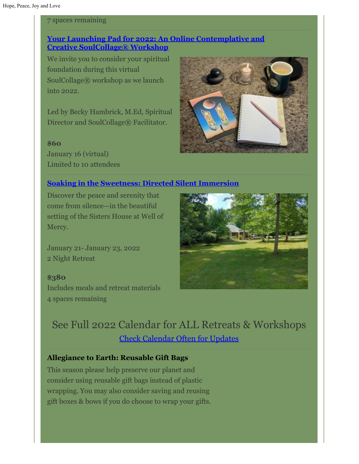#### 7 spaces remaining

## **[Your Launching Pad for 2022: An Online Contemplative and](https://wellofmercy.networkforgood.com/events/37355-your-launching-pad-for-2022-an-online-contemplative-and-creative-workshop) Creative [SoulCollage® Workshop](https://wellofmercy.networkforgood.com/events/37355-your-launching-pad-for-2022-an-online-contemplative-and-creative-workshop)**

We invite you to consider your spiritual foundation during this virtual SoulCollage® workshop as we launch into 2022.

Led by Becky Hambrick, M.Ed, Spiritual Director and SoulCollage® Facilitator.

#### **\$60**

January 16 (virtual) Limited to 10 attendees

#### **[Soaking in the Sweetness: Directed Silent Immersion](https://wellofmercy.networkforgood.com/events/37112-soaking-in-the-sweetness)**

Discover the peace and serenity that come from silence—in the beautiful setting of the Sisters House at Well of Mercy.

January 21- January 23, 2022 2 Night Retreat

**\$380** Includes meals and retreat materials 4 spaces remaining





## See Full 2022 Calendar for ALL Retreats & Workshops [Check Calendar Often for Updates](https://wellofmercy.networkforgood.com/events/25374-well-of-mercy-2022-circles-retreats-workshops)

#### **Allegiance to Earth: Reusable Gift Bags**

This season please help preserve our planet and consider using reusable gift bags instead of plastic wrapping. You may also consider saving and reusing gift boxes & bows if you do choose to wrap your gifts.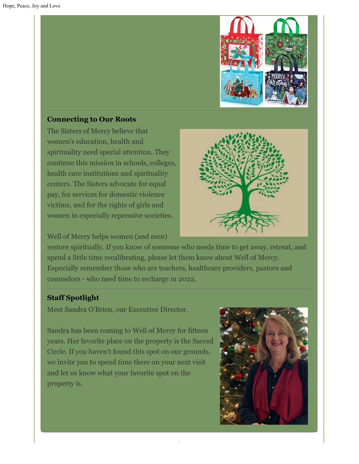

#### **Connecting to Our Roots**

The Sisters of Mercy believe that women's education, health and spirituality need special attention. They continue this mission in schools, colleges, health care institutions and spirituality centers. The Sisters advocate for equal pay, for services for domestic violence victims, and for the rights of girls and women in especially repressive societies.

Well of Mercy helps women (and men)



restore spiritually. If you know of someone who needs time to get away, retreat, and spend a little time recalibrating, please let them know about Well of Mercy. Especially remember those who are teachers, healthcare providers, pastors and counselors - who need time to recharge in 2022.

#### **Staff Spotlight**

Meet Sandra O'Brien, our Executive Director.

Sandra has been coming to Well of Mercy for fifteen years. Her favorite place on the property is the Sacred Circle. If you haven't found this spot on our grounds, we invite you to spend time there on your next visit and let us know what your favorite spot on the property is.